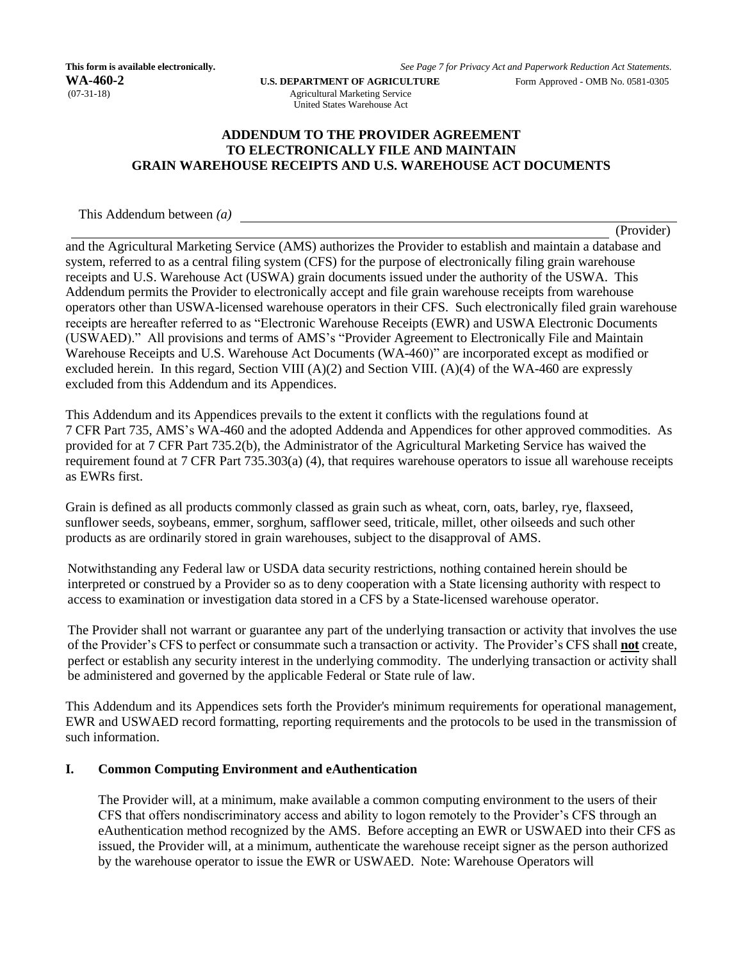Agricultural Marketing Service United States Warehouse Act

# **ADDENDUM TO THE PROVIDER AGREEMENT TO ELECTRONICALLY FILE AND MAINTAIN GRAIN WAREHOUSE RECEIPTS AND U.S. WAREHOUSE ACT DOCUMENTS**

This Addendum between *(a)*

(Provider)

and the Agricultural Marketing Service (AMS) authorizes the Provider to establish and maintain a database and system, referred to as a central filing system (CFS) for the purpose of electronically filing grain warehouse receipts and U.S. Warehouse Act (USWA) grain documents issued under the authority of the USWA. This Addendum permits the Provider to electronically accept and file grain warehouse receipts from warehouse operators other than USWA-licensed warehouse operators in their CFS. Such electronically filed grain warehouse receipts are hereafter referred to as "Electronic Warehouse Receipts (EWR) and USWA Electronic Documents (USWAED)." All provisions and terms of AMS's "Provider Agreement to Electronically File and Maintain Warehouse Receipts and U.S. Warehouse Act Documents (WA-460)" are incorporated except as modified or excluded herein. In this regard, Section VIII  $(A)(2)$  and Section VIII.  $(A)(4)$  of the WA-460 are expressly excluded from this Addendum and its Appendices.

This Addendum and its Appendices prevails to the extent it conflicts with the regulations found at 7 CFR Part 735, AMS's WA-460 and the adopted Addenda and Appendices for other approved commodities. As provided for at 7 CFR Part 735.2(b), the Administrator of the Agricultural Marketing Service has waived the requirement found at 7 CFR Part 735.303(a) (4), that requires warehouse operators to issue all warehouse receipts as EWRs first.

Grain is defined as all products commonly classed as grain such as wheat, corn, oats, barley, rye, flaxseed, sunflower seeds, soybeans, emmer, sorghum, safflower seed, triticale, millet, other oilseeds and such other products as are ordinarily stored in grain warehouses, subject to the disapproval of AMS.

Notwithstanding any Federal law or USDA data security restrictions, nothing contained herein should be interpreted or construed by a Provider so as to deny cooperation with a State licensing authority with respect to access to examination or investigation data stored in a CFS by a State-licensed warehouse operator.

The Provider shall not warrant or guarantee any part of the underlying transaction or activity that involves the use of the Provider's CFS to perfect or consummate such a transaction or activity. The Provider's CFS shall **not** create, perfect or establish any security interest in the underlying commodity. The underlying transaction or activity shall be administered and governed by the applicable Federal or State rule of law.

This Addendum and its Appendices sets forth the Provider's minimum requirements for operational management, EWR and USWAED record formatting, reporting requirements and the protocols to be used in the transmission of such information.

# **I. Common Computing Environment and eAuthentication**

The Provider will, at a minimum, make available a common computing environment to the users of their CFS that offers nondiscriminatory access and ability to logon remotely to the Provider's CFS through an eAuthentication method recognized by the AMS. Before accepting an EWR or USWAED into their CFS as issued, the Provider will, at a minimum, authenticate the warehouse receipt signer as the person authorized by the warehouse operator to issue the EWR or USWAED. Note: Warehouse Operators will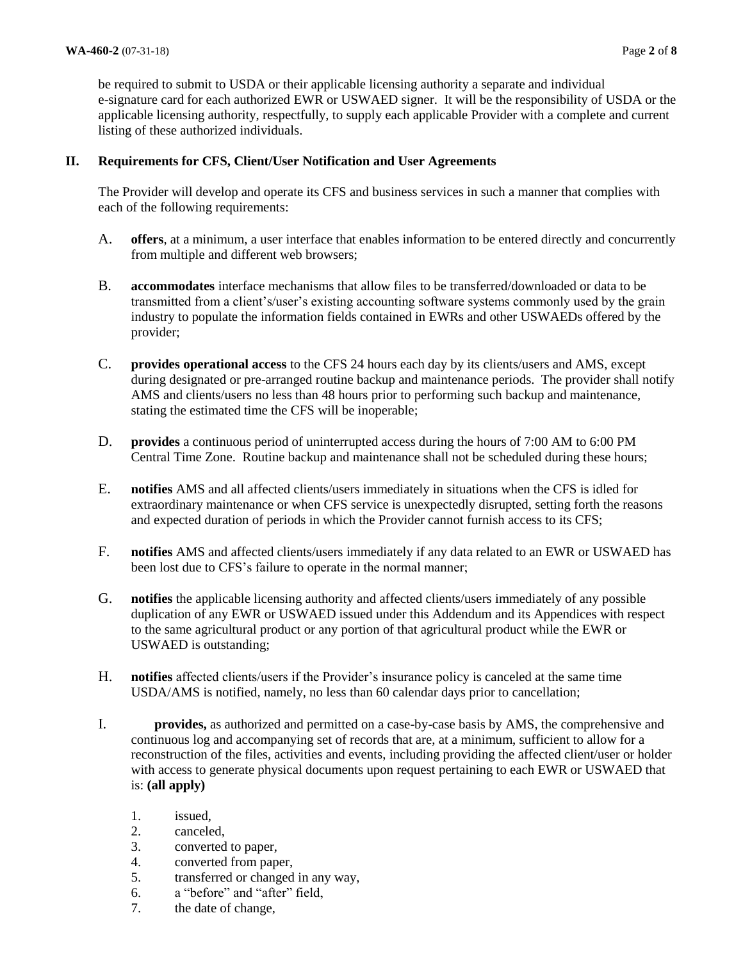be required to submit to USDA or their applicable licensing authority a separate and individual e-signature card for each authorized EWR or USWAED signer. It will be the responsibility of USDA or the applicable licensing authority, respectfully, to supply each applicable Provider with a complete and current listing of these authorized individuals.

# **II. Requirements for CFS, Client/User Notification and User Agreements**

The Provider will develop and operate its CFS and business services in such a manner that complies with each of the following requirements:

- A. **offers**, at a minimum, a user interface that enables information to be entered directly and concurrently from multiple and different web browsers;
- B. **accommodates** interface mechanisms that allow files to be transferred/downloaded or data to be transmitted from a client's/user's existing accounting software systems commonly used by the grain industry to populate the information fields contained in EWRs and other USWAEDs offered by the provider;
- C. **provides operational access** to the CFS 24 hours each day by its clients/users and AMS, except during designated or pre-arranged routine backup and maintenance periods. The provider shall notify AMS and clients/users no less than 48 hours prior to performing such backup and maintenance, stating the estimated time the CFS will be inoperable;
- D. **provides** a continuous period of uninterrupted access during the hours of 7:00 AM to 6:00 PM Central Time Zone. Routine backup and maintenance shall not be scheduled during these hours;
- E. **notifies** AMS and all affected clients/users immediately in situations when the CFS is idled for extraordinary maintenance or when CFS service is unexpectedly disrupted, setting forth the reasons and expected duration of periods in which the Provider cannot furnish access to its CFS;
- F. **notifies** AMS and affected clients/users immediately if any data related to an EWR or USWAED has been lost due to CFS's failure to operate in the normal manner;
- G. **notifies** the applicable licensing authority and affected clients/users immediately of any possible duplication of any EWR or USWAED issued under this Addendum and its Appendices with respect to the same agricultural product or any portion of that agricultural product while the EWR or USWAED is outstanding;
- H. **notifies** affected clients/users if the Provider's insurance policy is canceled at the same time USDA/AMS is notified, namely, no less than 60 calendar days prior to cancellation;
- I. **provides,** as authorized and permitted on a case-by-case basis by AMS, the comprehensive and continuous log and accompanying set of records that are, at a minimum, sufficient to allow for a reconstruction of the files, activities and events, including providing the affected client/user or holder with access to generate physical documents upon request pertaining to each EWR or USWAED that is: **(all apply)**
	- 1. issued,
	- 2. canceled,
	- 3. converted to paper,
	- 4. converted from paper,
	- 5. transferred or changed in any way,
	- 6. a "before" and "after" field,
	- 7. the date of change,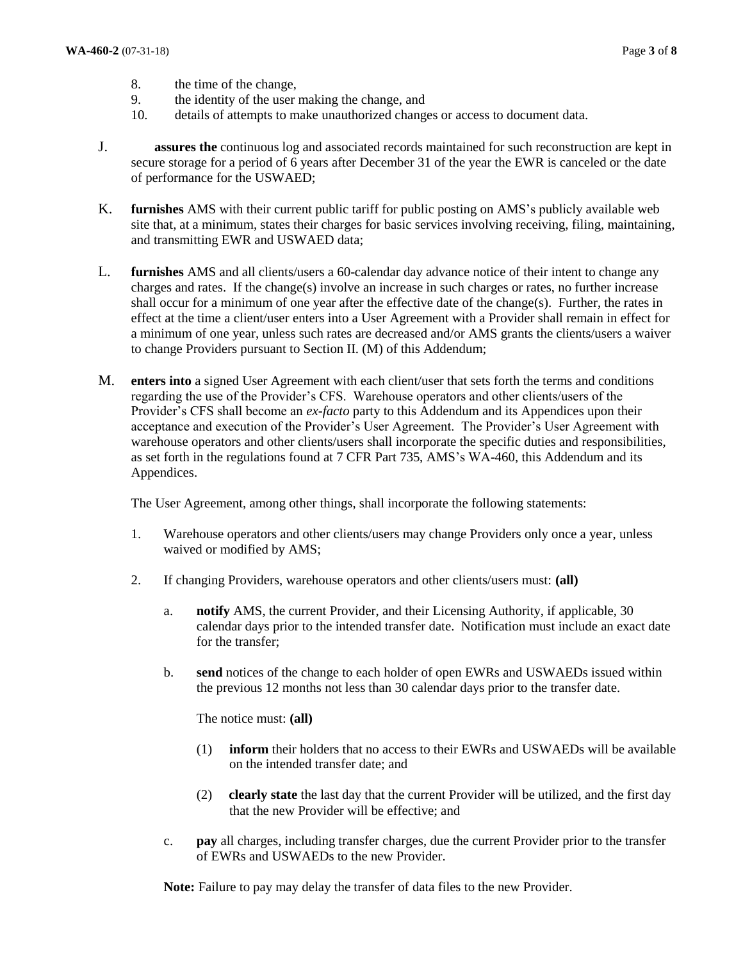- 8. the time of the change,
- 9. the identity of the user making the change, and
- 10. details of attempts to make unauthorized changes or access to document data.
- J. **assures the** continuous log and associated records maintained for such reconstruction are kept in secure storage for a period of 6 years after December 31 of the year the EWR is canceled or the date of performance for the USWAED;
- K. **furnishes** AMS with their current public tariff for public posting on AMS's publicly available web site that, at a minimum, states their charges for basic services involving receiving, filing, maintaining, and transmitting EWR and USWAED data;
- L. **furnishes** AMS and all clients/users a 60-calendar day advance notice of their intent to change any charges and rates. If the change(s) involve an increase in such charges or rates, no further increase shall occur for a minimum of one year after the effective date of the change(s). Further, the rates in effect at the time a client/user enters into a User Agreement with a Provider shall remain in effect for a minimum of one year, unless such rates are decreased and/or AMS grants the clients/users a waiver to change Providers pursuant to Section II. (M) of this Addendum;
- M. **enters into** a signed User Agreement with each client/user that sets forth the terms and conditions regarding the use of the Provider's CFS. Warehouse operators and other clients/users of the Provider's CFS shall become an *ex-facto* party to this Addendum and its Appendices upon their acceptance and execution of the Provider's User Agreement. The Provider's User Agreement with warehouse operators and other clients/users shall incorporate the specific duties and responsibilities, as set forth in the regulations found at 7 CFR Part 735, AMS's WA-460, this Addendum and its Appendices.

The User Agreement, among other things, shall incorporate the following statements:

- 1. Warehouse operators and other clients/users may change Providers only once a year, unless waived or modified by AMS;
- 2. If changing Providers, warehouse operators and other clients/users must: **(all)**
	- a. **notify** AMS, the current Provider, and their Licensing Authority, if applicable, 30 calendar days prior to the intended transfer date. Notification must include an exact date for the transfer;
	- b. **send** notices of the change to each holder of open EWRs and USWAEDs issued within the previous 12 months not less than 30 calendar days prior to the transfer date.

The notice must: **(all)**

- (1) **inform** their holders that no access to their EWRs and USWAEDs will be available on the intended transfer date; and
- (2) **clearly state** the last day that the current Provider will be utilized, and the first day that the new Provider will be effective; and
- c. **pay** all charges, including transfer charges, due the current Provider prior to the transfer of EWRs and USWAEDs to the new Provider.

**Note:** Failure to pay may delay the transfer of data files to the new Provider.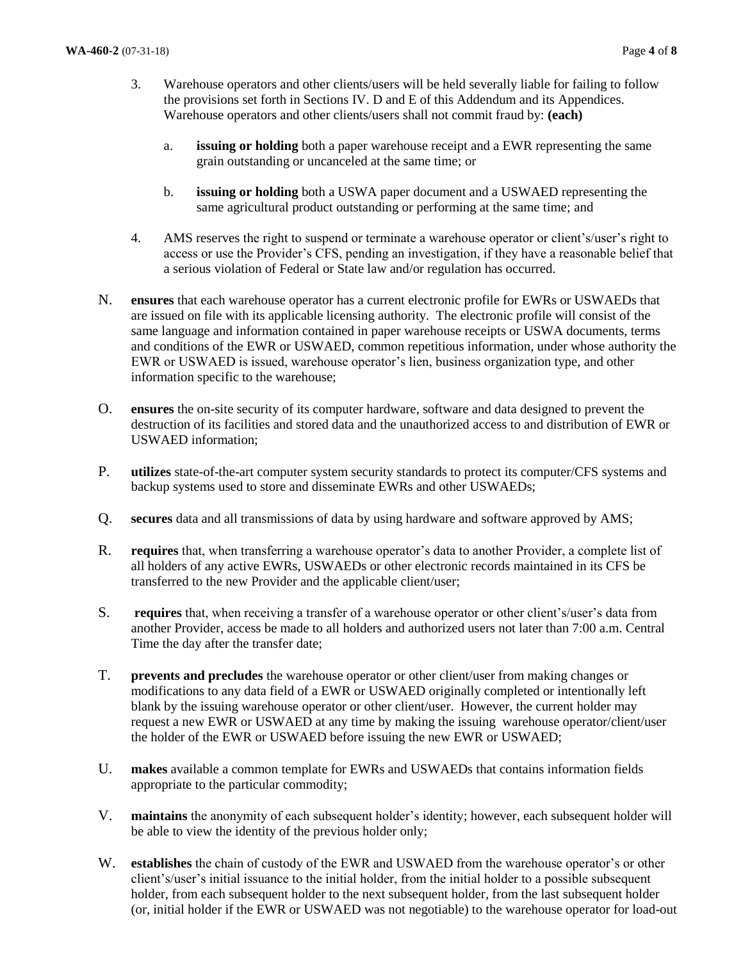- 3. Warehouse operators and other clients/users will be held severally liable for failing to follow the provisions set forth in Sections IV. D and E of this Addendum and its Appendices. Warehouse operators and other clients/users shall not commit fraud by: **(each)**
	- a. **issuing or holding** both a paper warehouse receipt and a EWR representing the same grain outstanding or uncanceled at the same time; or
	- b. **issuing or holding** both a USWA paper document and a USWAED representing the same agricultural product outstanding or performing at the same time; and
- 4. AMS reserves the right to suspend or terminate a warehouse operator or client's/user's right to access or use the Provider's CFS, pending an investigation, if they have a reasonable belief that a serious violation of Federal or State law and/or regulation has occurred.
- N. **ensures** that each warehouse operator has a current electronic profile for EWRs or USWAEDs that are issued on file with its applicable licensing authority. The electronic profile will consist of the same language and information contained in paper warehouse receipts or USWA documents, terms and conditions of the EWR or USWAED, common repetitious information, under whose authority the EWR or USWAED is issued, warehouse operator's lien, business organization type, and other information specific to the warehouse;
- O. **ensures** the on-site security of its computer hardware, software and data designed to prevent the destruction of its facilities and stored data and the unauthorized access to and distribution of EWR or USWAED information;
- P. **utilizes** state-of-the-art computer system security standards to protect its computer/CFS systems and backup systems used to store and disseminate EWRs and other USWAEDs;
- Q. **secures** data and all transmissions of data by using hardware and software approved by AMS;
- R. **requires** that, when transferring a warehouse operator's data to another Provider, a complete list of all holders of any active EWRs, USWAEDs or other electronic records maintained in its CFS be transferred to the new Provider and the applicable client/user;
- S. **requires** that, when receiving a transfer of a warehouse operator or other client's/user's data from another Provider, access be made to all holders and authorized users not later than 7:00 a.m. Central Time the day after the transfer date;
- T. **prevents and precludes** the warehouse operator or other client/user from making changes or modifications to any data field of a EWR or USWAED originally completed or intentionally left blank by the issuing warehouse operator or other client/user. However, the current holder may request a new EWR or USWAED at any time by making the issuing warehouse operator/client/user the holder of the EWR or USWAED before issuing the new EWR or USWAED;
- U. **makes** available a common template for EWRs and USWAEDs that contains information fields appropriate to the particular commodity;
- V. **maintains** the anonymity of each subsequent holder's identity; however, each subsequent holder will be able to view the identity of the previous holder only;
- W. **establishes** the chain of custody of the EWR and USWAED from the warehouse operator's or other client's/user's initial issuance to the initial holder, from the initial holder to a possible subsequent holder, from each subsequent holder to the next subsequent holder, from the last subsequent holder (or, initial holder if the EWR or USWAED was not negotiable) to the warehouse operator for load-out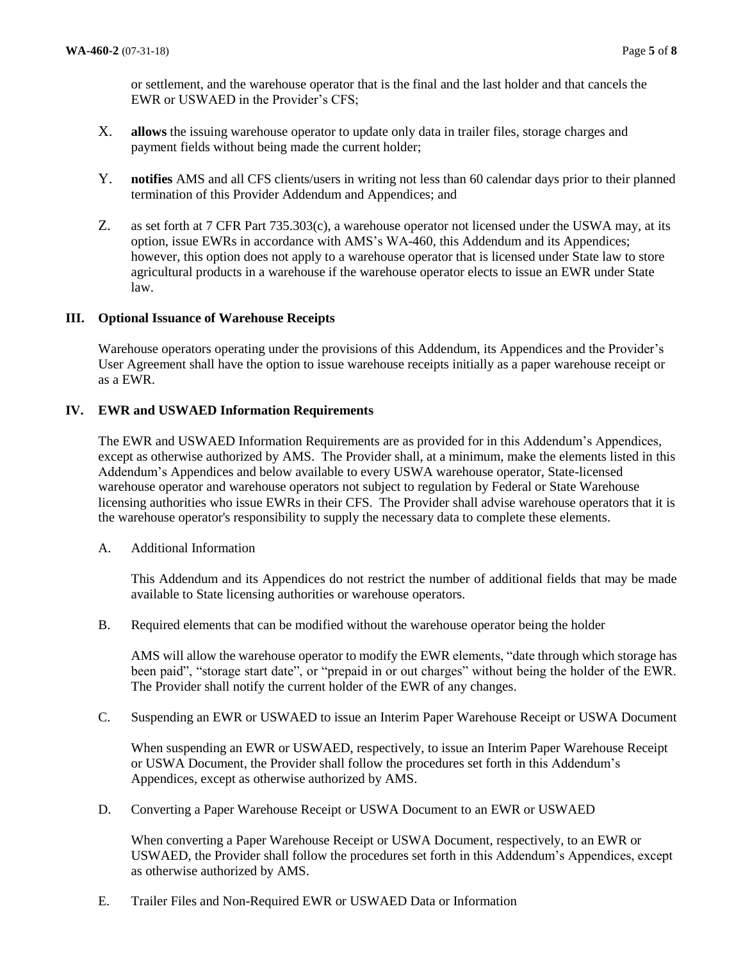or settlement, and the warehouse operator that is the final and the last holder and that cancels the EWR or USWAED in the Provider's CFS;

- X. **allows** the issuing warehouse operator to update only data in trailer files, storage charges and payment fields without being made the current holder;
- Y. **notifies** AMS and all CFS clients/users in writing not less than 60 calendar days prior to their planned termination of this Provider Addendum and Appendices; and
- Z. as set forth at 7 CFR Part 735.303(c), a warehouse operator not licensed under the USWA may, at its option, issue EWRs in accordance with AMS's WA-460, this Addendum and its Appendices; however, this option does not apply to a warehouse operator that is licensed under State law to store agricultural products in a warehouse if the warehouse operator elects to issue an EWR under State law.

# **III. Optional Issuance of Warehouse Receipts**

Warehouse operators operating under the provisions of this Addendum, its Appendices and the Provider's User Agreement shall have the option to issue warehouse receipts initially as a paper warehouse receipt or as a EWR.

# **IV. EWR and USWAED Information Requirements**

The EWR and USWAED Information Requirements are as provided for in this Addendum's Appendices, except as otherwise authorized by AMS. The Provider shall, at a minimum, make the elements listed in this Addendum's Appendices and below available to every USWA warehouse operator, State-licensed warehouse operator and warehouse operators not subject to regulation by Federal or State Warehouse licensing authorities who issue EWRs in their CFS. The Provider shall advise warehouse operators that it is the warehouse operator's responsibility to supply the necessary data to complete these elements.

A. Additional Information

This Addendum and its Appendices do not restrict the number of additional fields that may be made available to State licensing authorities or warehouse operators.

B. Required elements that can be modified without the warehouse operator being the holder

AMS will allow the warehouse operator to modify the EWR elements, "date through which storage has been paid", "storage start date", or "prepaid in or out charges" without being the holder of the EWR. The Provider shall notify the current holder of the EWR of any changes.

C. Suspending an EWR or USWAED to issue an Interim Paper Warehouse Receipt or USWA Document

When suspending an EWR or USWAED, respectively, to issue an Interim Paper Warehouse Receipt or USWA Document, the Provider shall follow the procedures set forth in this Addendum's Appendices, except as otherwise authorized by AMS.

D. Converting a Paper Warehouse Receipt or USWA Document to an EWR or USWAED

When converting a Paper Warehouse Receipt or USWA Document, respectively, to an EWR or USWAED, the Provider shall follow the procedures set forth in this Addendum's Appendices, except as otherwise authorized by AMS.

E. Trailer Files and Non-Required EWR or USWAED Data or Information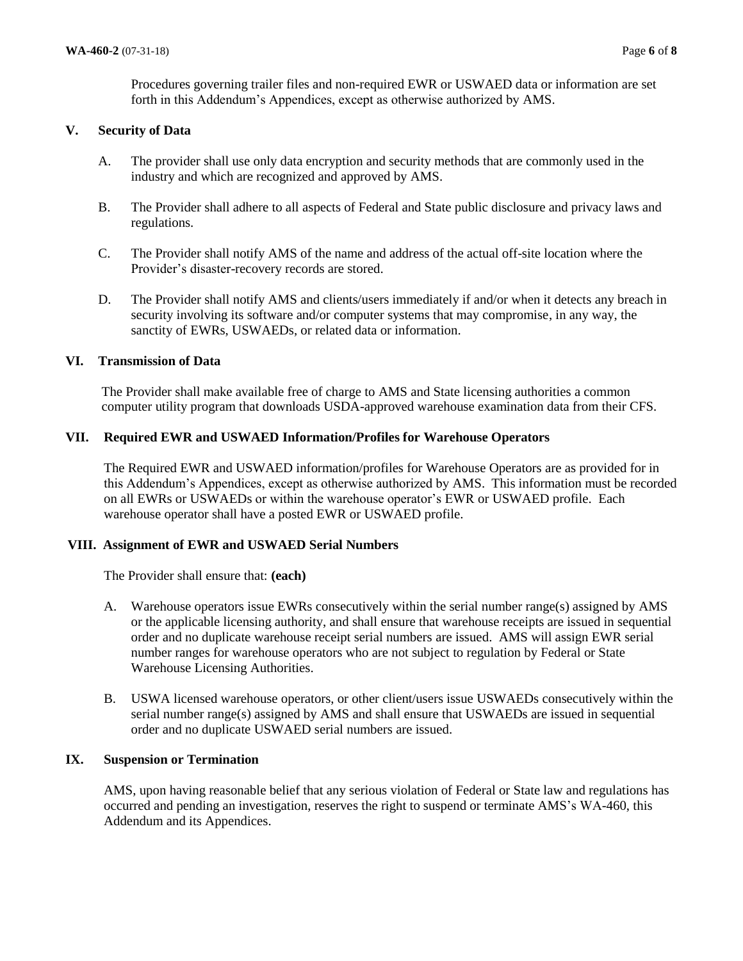Procedures governing trailer files and non-required EWR or USWAED data or information are set forth in this Addendum's Appendices, except as otherwise authorized by AMS.

# **V. Security of Data**

- A. The provider shall use only data encryption and security methods that are commonly used in the industry and which are recognized and approved by AMS.
- B. The Provider shall adhere to all aspects of Federal and State public disclosure and privacy laws and regulations.
- C. The Provider shall notify AMS of the name and address of the actual off-site location where the Provider's disaster-recovery records are stored.
- D. The Provider shall notify AMS and clients/users immediately if and/or when it detects any breach in security involving its software and/or computer systems that may compromise, in any way, the sanctity of EWRs, USWAEDs, or related data or information.

# **VI. Transmission of Data**

The Provider shall make available free of charge to AMS and State licensing authorities a common computer utility program that downloads USDA-approved warehouse examination data from their CFS.

# **VII. Required EWR and USWAED Information/Profiles for Warehouse Operators**

The Required EWR and USWAED information/profiles for Warehouse Operators are as provided for in this Addendum's Appendices, except as otherwise authorized by AMS. This information must be recorded on all EWRs or USWAEDs or within the warehouse operator's EWR or USWAED profile. Each warehouse operator shall have a posted EWR or USWAED profile.

# **VIII. Assignment of EWR and USWAED Serial Numbers**

The Provider shall ensure that: **(each)**

- A. Warehouse operators issue EWRs consecutively within the serial number range(s) assigned by AMS or the applicable licensing authority, and shall ensure that warehouse receipts are issued in sequential order and no duplicate warehouse receipt serial numbers are issued. AMS will assign EWR serial number ranges for warehouse operators who are not subject to regulation by Federal or State Warehouse Licensing Authorities.
- B. USWA licensed warehouse operators, or other client/users issue USWAEDs consecutively within the serial number range(s) assigned by AMS and shall ensure that USWAEDs are issued in sequential order and no duplicate USWAED serial numbers are issued.

# **IX. Suspension or Termination**

AMS, upon having reasonable belief that any serious violation of Federal or State law and regulations has occurred and pending an investigation, reserves the right to suspend or terminate AMS's WA-460, this Addendum and its Appendices.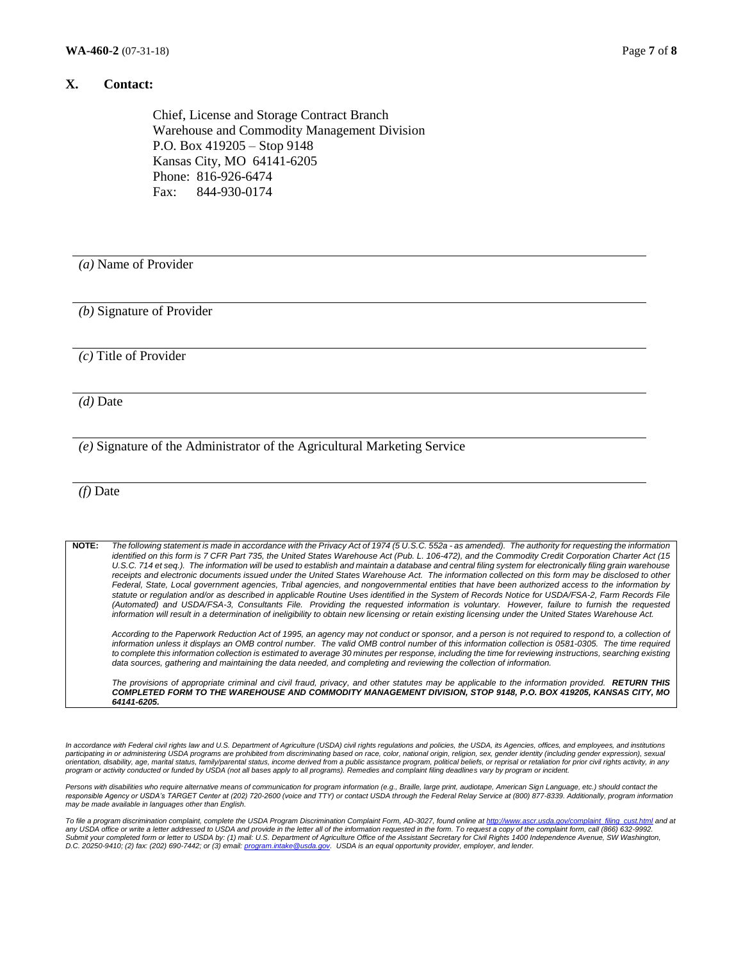#### **X. Contact:**

Chief, License and Storage Contract Branch Warehouse and Commodity Management Division P.O. Box 419205 – Stop 9148 Kansas City, MO 64141-6205 Phone: 816-926-6474 Fax: 844-930-0174

*(a)* Name of Provider

*(b)* Signature of Provider

*(c)* Title of Provider

*(d)* Date

*(e)* Signature of the Administrator of the Agricultural Marketing Service

*(f)* Date

**NOTE:** *The following statement is made in accordance with the Privacy Act of 1974 (5 U.S.C. 552a - as amended). The authority for requesting the information identified on this form is 7 CFR Part 735, the United States Warehouse Act (Pub. L. 106-472), and the Commodity Credit Corporation Charter Act (15 U.S.C. 714 et seq.). The information will be used to establish and maintain a database and central filing system for electronically filing grain warehouse*  receipts and electronic documents issued under the United States Warehouse Act. The information collected on this form may be disclosed to other *Federal, State, Local government agencies, Tribal agencies, and nongovernmental entities that have been authorized access to the information by*  statute or regulation and/or as described in applicable Routine Uses identified in the System of Records Notice for USDA/FSA-2, Farm Records File (Automated) and USDA/FSA-3, Consultants File. Providing the requested information is voluntary. However, failure to furnish the requested *information will result in a determination of ineligibility to obtain new licensing or retain existing licensing under the United States Warehouse Act.*

According to the Paperwork Reduction Act of 1995, an agency may not conduct or sponsor, and a person is not required to respond to, a collection of *information unless it displays an OMB control number. The valid OMB control number of this information collection is 0581-0305. The time required*  to complete this information collection is estimated to average 30 minutes per response, including the time for reviewing instructions, searching existing *data sources, gathering and maintaining the data needed, and completing and reviewing the collection of information.* 

*The provisions of appropriate criminal and civil fraud, privacy, and other statutes may be applicable to the information provided. RETURN THIS COMPLETED FORM TO THE WAREHOUSE AND COMMODITY MANAGEMENT DIVISION, STOP 9148, P.O. BOX 419205, KANSAS CITY, MO 64141-6205.*

In accordance with Federal civil rights law and U.S. Department of Agriculture (USDA) civil rights regulations and policies, the USDA, its Agencies, offices, and employees, and institutions<br>participating in or administerin *program or activity conducted or funded by USDA (not all bases apply to all programs). Remedies and complaint filing deadlines vary by program or incident.* 

Persons with disabilities who require alternative means of communication for program information (e.g., Braille, large print, audiotape, American Sign Language, etc.) should contact the<br>responsible Agency or USDA's TARGET

*To file a program discrimination complaint, complete the USDA Program Discrimination Complaint Form, AD-3027, found online a[t http://www.ascr.usda.gov/complaint\\_filing\\_cust.html](http://www.ascr.usda.gov/complaint_filing_cust.html) and at*  any USDA office or write a letter addressed to USDA and provide in the letter all of the information requested in the form. To request a copy of the complaint form, call (866) 632-9992.<br>Submit your completed form or letter